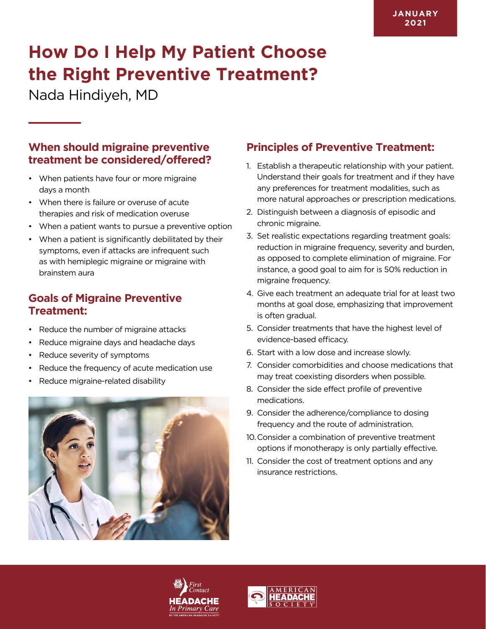# **How Do I Help My Patient Choose the Right Preventive Treatment?**

Nada Hindiyeh, MD

#### **When should migraine preventive treatment be considered/offered?**

- When patients have four or more migraine days a month
- When there is failure or overuse of acute therapies and risk of medication overuse
- When a patient wants to pursue a preventive option
- When a patient is significantly debilitated by their symptoms, even if attacks are infrequent such as with hemiplegic migraine or migraine with brainstem aura

### **Goals of Migraine Preventive Treatment:**

- Reduce the number of migraine attacks
- Reduce migraine days and headache days
- Reduce severity of symptoms
- Reduce the frequency of acute medication use
- Reduce migraine-related disability



## **Principles of Preventive Treatment:**

- 1. Establish a therapeutic relationship with your patient. Understand their goals for treatment and if they have any preferences for treatment modalities, such as more natural approaches or prescription medications.
- 2. Distinguish between a diagnosis of episodic and chronic migraine.
- 3. Set realistic expectations regarding treatment goals: reduction in migraine frequency, severity and burden, as opposed to complete elimination of migraine. For instance, a good goal to aim for is 50% reduction in migraine frequency.
- 4. Give each treatment an adequate trial for at least two months at goal dose, emphasizing that improvement is often gradual.
- 5. Consider treatments that have the highest level of evidence-based efficacy.
- 6. Start with a low dose and increase slowly.
- 7. Consider comorbidities and choose medications that may treat coexisting disorders when possible.
- 8. Consider the side effect profile of preventive medications.
- 9. Consider the adherence/compliance to dosing frequency and the route of administration.
- 10.Consider a combination of preventive treatment options if monotherapy is only partially effective.
- 11. Consider the cost of treatment options and any insurance restrictions.